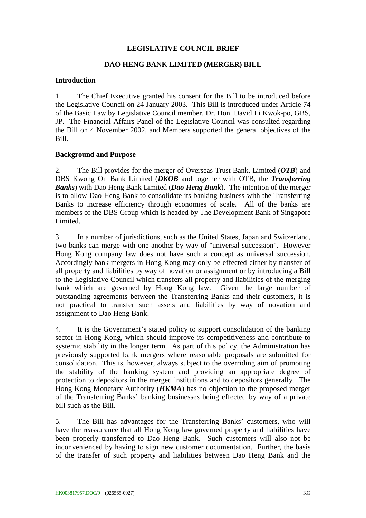# **LEGISLATIVE COUNCIL BRIEF**

# **DAO HENG BANK LIMITED (MERGER) BILL**

#### **Introduction**

1. The Chief Executive granted his consent for the Bill to be introduced before the Legislative Council on 24 January 2003. This Bill is introduced under Article 74 of the Basic Law by Legislative Council member, Dr. Hon. David Li Kwok-po, GBS, JP. The Financial Affairs Panel of the Legislative Council was consulted regarding the Bill on 4 November 2002, and Members supported the general objectives of the Bill.

#### **Background and Purpose**

2. The Bill provides for the merger of Overseas Trust Bank, Limited (*OTB*) and DBS Kwong On Bank Limited (*DKOB* and together with OTB, the *Transferring Banks*) with Dao Heng Bank Limited (*Dao Heng Bank*). The intention of the merger is to allow Dao Heng Bank to consolidate its banking business with the Transferring Banks to increase efficiency through economies of scale.All of the banks are members of the DBS Group which is headed by The Development Bank of Singapore Limited.

3. In a number of jurisdictions, such as the United States, Japan and Switzerland, two banks can merge with one another by way of "universal succession". However Hong Kong company law does not have such a concept as universal succession. Accordingly bank mergers in Hong Kong may only be effected either by transfer of all property and liabilities by way of novation or assignment or by introducing a Bill to the Legislative Council which transfers all property and liabilities of the merging bank which are governed by Hong Kong law. Given the large number of outstanding agreements between the Transferring Banks and their customers, it is not practical to transfer such assets and liabilities by way of novation and assignment to Dao Heng Bank.

4. It is the Government's stated policy to support consolidation of the banking sector in Hong Kong, which should improve its competitiveness and contribute to systemic stability in the longer term. As part of this policy, the Administration has previously supported bank mergers where reasonable proposals are submitted for consolidation. This is, however, always subject to the overriding aim of promoting the stability of the banking system and providing an appropriate degree of protection to depositors in the merged institutions and to depositors generally. The Hong Kong Monetary Authority (*HKMA*) has no objection to the proposed merger of the Transferring Banks' banking businesses being effected by way of a private bill such as the Bill.

5. The Bill has advantages for the Transferring Banks' customers, who will have the reassurance that all Hong Kong law governed property and liabilities have been properly transferred to Dao Heng Bank. Such customers will also not be inconvenienced by having to sign new customer documentation. Further, the basis of the transfer of such property and liabilities between Dao Heng Bank and the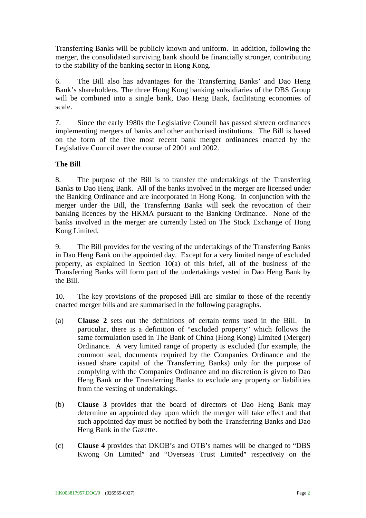Transferring Banks will be publicly known and uniform. In addition, following the merger, the consolidated surviving bank should be financially stronger, contributing to the stability of the banking sector in Hong Kong.

6. The Bill also has advantages for the Transferring Banks' and Dao Heng Bank's shareholders. The three Hong Kong banking subsidiaries of the DBS Group will be combined into a single bank, Dao Heng Bank, facilitating economies of scale.

7. Since the early 1980s the Legislative Council has passed sixteen ordinances implementing mergers of banks and other authorised institutions. The Bill is based on the form of the five most recent bank merger ordinances enacted by the Legislative Council over the course of 2001 and 2002.

# **The Bill**

8. The purpose of the Bill is to transfer the undertakings of the Transferring Banks to Dao Heng Bank. All of the banks involved in the merger are licensed under the Banking Ordinance and are incorporated in Hong Kong. In conjunction with the merger under the Bill, the Transferring Banks will seek the revocation of their banking licences by the HKMA pursuant to the Banking Ordinance. None of the banks involved in the merger are currently listed on The Stock Exchange of Hong Kong Limited.

9. The Bill provides for the vesting of the undertakings of the Transferring Banks in Dao Heng Bank on the appointed day. Except for a very limited range of excluded property, as explained in Section 10(a) of this brief, all of the business of the Transferring Banks will form part of the undertakings vested in Dao Heng Bank by the Bill.

10. The key provisions of the proposed Bill are similar to those of the recently enacted merger bills and are summarised in the following paragraphs.

- (a) **Clause 2** sets out the definitions of certain terms used in the Bill. In particular, there is a definition of "excluded property" which follows the same formulation used in The Bank of China (Hong Kong) Limited (Merger) Ordinance. A very limited range of property is excluded (for example, the common seal, documents required by the Companies Ordinance and the issued share capital of the Transferring Banks) only for the purpose of complying with the Companies Ordinance and no discretion is given to Dao Heng Bank or the Transferring Banks to exclude any property or liabilities from the vesting of undertakings.
- (b) **Clause 3** provides that the board of directors of Dao Heng Bank may determine an appointed day upon which the merger will take effect and that such appointed day must be notified by both the Transferring Banks and Dao Heng Bank in the Gazette.
- (c) **Clause 4** provides that DKOB's and OTB's names will be changed to "DBS Kwong On Limited" and "Overseas Trust Limited" respectively on the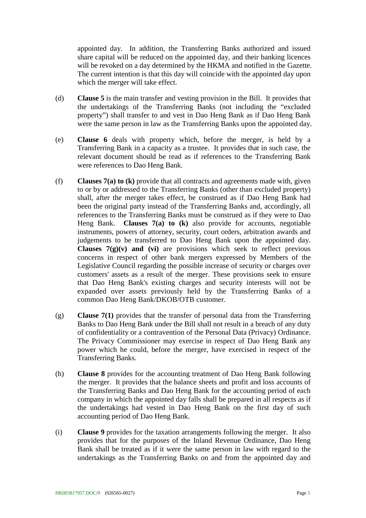appointed day. In addition, the Transferring Banks authorized and issued share capital will be reduced on the appointed day, and their banking licences will be revoked on a day determined by the HKMA and notified in the Gazette. The current intention is that this day will coincide with the appointed day upon which the merger will take effect.

- (d) **Clause 5** is the main transfer and vesting provision in the Bill. It provides that the undertakings of the Transferring Banks (not including the "excluded property") shall transfer to and vest in Dao Heng Bank as if Dao Heng Bank were the same person in law as the Transferring Banks upon the appointed day.
- (e) **Clause 6** deals with property which, before the merger, is held by a Transferring Bank in a capacity as a trustee. It provides that in such case, the relevant document should be read as if references to the Transferring Bank were references to Dao Heng Bank.
- (f) **Clauses 7(a) to (k)** provide that all contracts and agreements made with, given to or by or addressed to the Transferring Banks (other than excluded property) shall, after the merger takes effect, be construed as if Dao Heng Bank had been the original party instead of the Transferring Banks and, accordingly, all references to the Transferring Banks must be construed as if they were to Dao Heng Bank. **Clauses 7(a) to (k)** also provide for accounts, negotiable instruments, powers of attorney, security, court orders, arbitration awards and judgements to be transferred to Dao Heng Bank upon the appointed day. **Clauses**  $7(g)(v)$  **and (vi)** are provisions which seek to reflect previous concerns in respect of other bank mergers expressed by Members of the Legislative Council regarding the possible increase of security or charges over customers' assets as a result of the merger. These provisions seek to ensure that Dao Heng Bank's existing charges and security interests will not be expanded over assets previously held by the Transferring Banks of a common Dao Heng Bank/DKOB/OTB customer.
- (g) **Clause 7(1)** provides that the transfer of personal data from the Transferring Banks to Dao Heng Bank under the Bill shall not result in a breach of any duty of confidentiality or a contravention of the Personal Data (Privacy) Ordinance. The Privacy Commissioner may exercise in respect of Dao Heng Bank any power which he could, before the merger, have exercised in respect of the Transferring Banks.
- (h) **Clause 8** provides for the accounting treatment of Dao Heng Bank following the merger. It provides that the balance sheets and profit and loss accounts of the Transferring Banks and Dao Heng Bank for the accounting period of each company in which the appointed day falls shall be prepared in all respects as if the undertakings had vested in Dao Heng Bank on the first day of such accounting period of Dao Heng Bank.
- (i) **Clause 9** provides for the taxation arrangements following the merger. It also provides that for the purposes of the Inland Revenue Ordinance, Dao Heng Bank shall be treated as if it were the same person in law with regard to the undertakings as the Transferring Banks on and from the appointed day and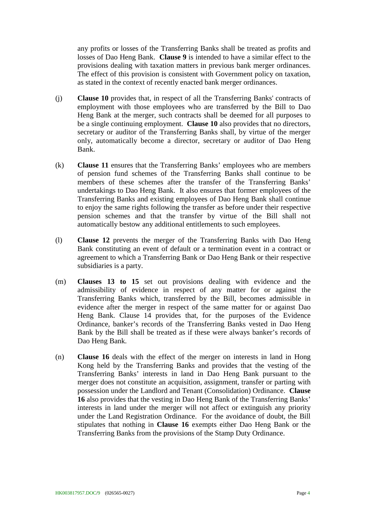any profits or losses of the Transferring Banks shall be treated as profits and losses of Dao Heng Bank. **Clause 9** is intended to have a similar effect to the provisions dealing with taxation matters in previous bank merger ordinances. The effect of this provision is consistent with Government policy on taxation, as stated in the context of recently enacted bank merger ordinances.

- (j) **Clause 10** provides that, in respect of all the Transferring Banks' contracts of employment with those employees who are transferred by the Bill to Dao Heng Bank at the merger, such contracts shall be deemed for all purposes to be a single continuing employment. **Clause 10** also provides that no directors, secretary or auditor of the Transferring Banks shall, by virtue of the merger only, automatically become a director, secretary or auditor of Dao Heng Bank.
- (k) **Clause 11** ensures that the Transferring Banks' employees who are members of pension fund schemes of the Transferring Banks shall continue to be members of these schemes after the transfer of the Transferring Banks' undertakings to Dao Heng Bank. It also ensures that former employees of the Transferring Banks and existing employees of Dao Heng Bank shall continue to enjoy the same rights following the transfer as before under their respective pension schemes and that the transfer by virtue of the Bill shall not automatically bestow any additional entitlements to such employees.
- (l) **Clause 12** prevents the merger of the Transferring Banks with Dao Heng Bank constituting an event of default or a termination event in a contract or agreement to which a Transferring Bank or Dao Heng Bank or their respective subsidiaries is a party.
- (m) **Clauses 13 to 15** set out provisions dealing with evidence and the admissibility of evidence in respect of any matter for or against the Transferring Banks which, transferred by the Bill, becomes admissible in evidence after the merger in respect of the same matter for or against Dao Heng Bank. Clause 14 provides that, for the purposes of the Evidence Ordinance, banker's records of the Transferring Banks vested in Dao Heng Bank by the Bill shall be treated as if these were always banker's records of Dao Heng Bank.
- (n) **Clause 16** deals with the effect of the merger on interests in land in Hong Kong held by the Transferring Banks and provides that the vesting of the Transferring Banks' interests in land in Dao Heng Bank pursuant to the merger does not constitute an acquisition, assignment, transfer or parting with possession under the Landlord and Tenant (Consolidation) Ordinance. **Clause 16** also provides that the vesting in Dao Heng Bank of the Transferring Banks' interests in land under the merger will not affect or extinguish any priority under the Land Registration Ordinance. For the avoidance of doubt, the Bill stipulates that nothing in **Clause 16** exempts either Dao Heng Bank or the Transferring Banks from the provisions of the Stamp Duty Ordinance.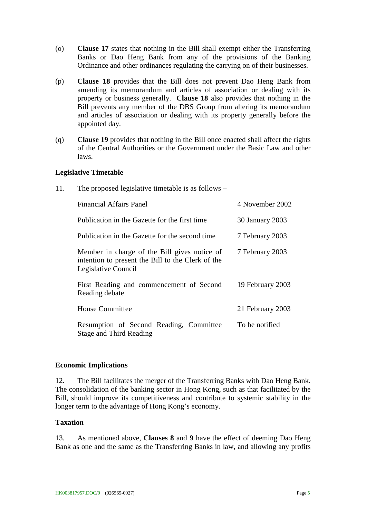- (o) **Clause 17** states that nothing in the Bill shall exempt either the Transferring Banks or Dao Heng Bank from any of the provisions of the Banking Ordinance and other ordinances regulating the carrying on of their businesses.
- (p) **Clause 18** provides that the Bill does not prevent Dao Heng Bank from amending its memorandum and articles of association or dealing with its property or business generally. **Clause 18** also provides that nothing in the Bill prevents any member of the DBS Group from altering its memorandum and articles of association or dealing with its property generally before the appointed day.
- (q) **Clause 19** provides that nothing in the Bill once enacted shall affect the rights of the Central Authorities or the Government under the Basic Law and other laws.

#### **Legislative Timetable**

11. The proposed legislative timetable is as follows –

| <b>Financial Affairs Panel</b>                                                                                           | 4 November 2002  |
|--------------------------------------------------------------------------------------------------------------------------|------------------|
| Publication in the Gazette for the first time                                                                            | 30 January 2003  |
| Publication in the Gazette for the second time                                                                           | 7 February 2003  |
| Member in charge of the Bill gives notice of<br>intention to present the Bill to the Clerk of the<br>Legislative Council | 7 February 2003  |
| First Reading and commencement of Second<br>Reading debate                                                               | 19 February 2003 |
| <b>House Committee</b>                                                                                                   | 21 February 2003 |
| Resumption of Second Reading, Committee<br><b>Stage and Third Reading</b>                                                | To be notified   |

## **Economic Implications**

12. The Bill facilitates the merger of the Transferring Banks with Dao Heng Bank. The consolidation of the banking sector in Hong Kong, such as that facilitated by the Bill, should improve its competitiveness and contribute to systemic stability in the longer term to the advantage of Hong Kong's economy.

## **Taxation**

13. As mentioned above, **Clauses 8** and **9** have the effect of deeming Dao Heng Bank as one and the same as the Transferring Banks in law, and allowing any profits